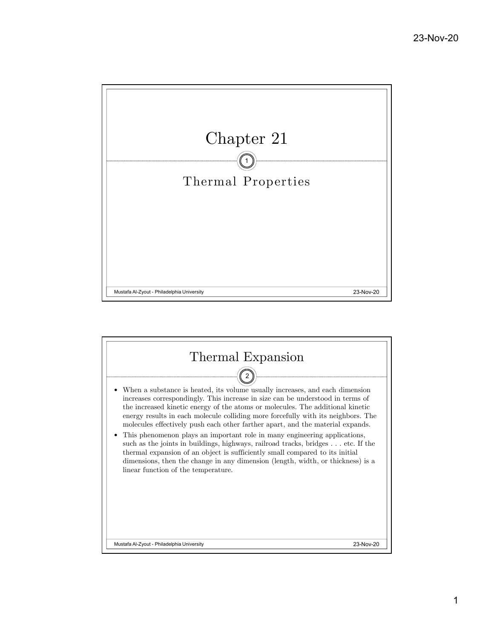

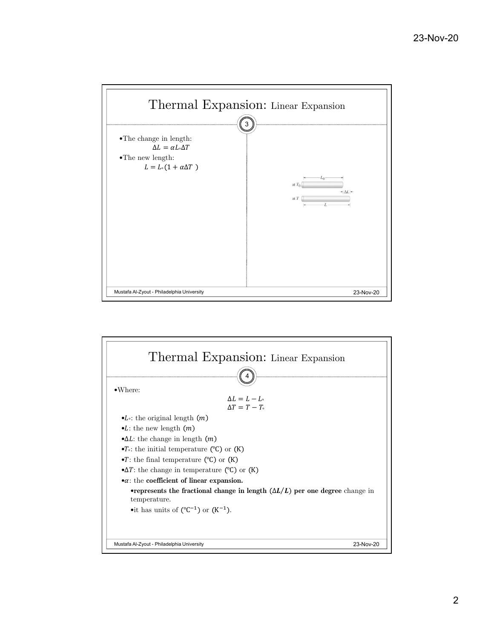

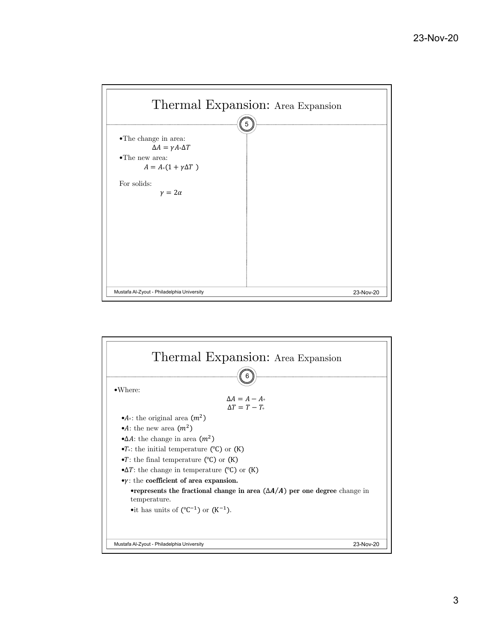

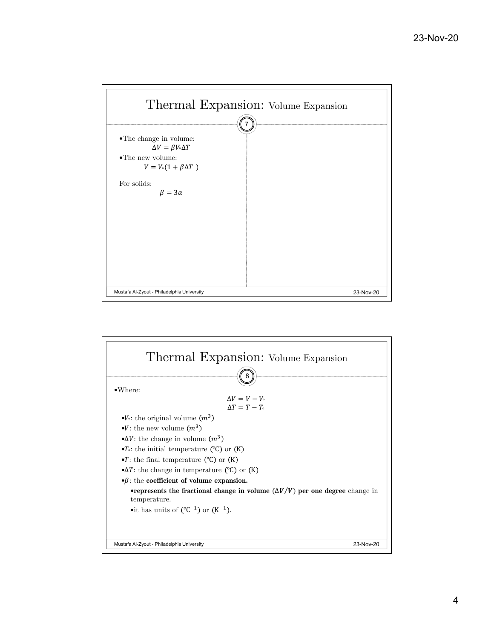

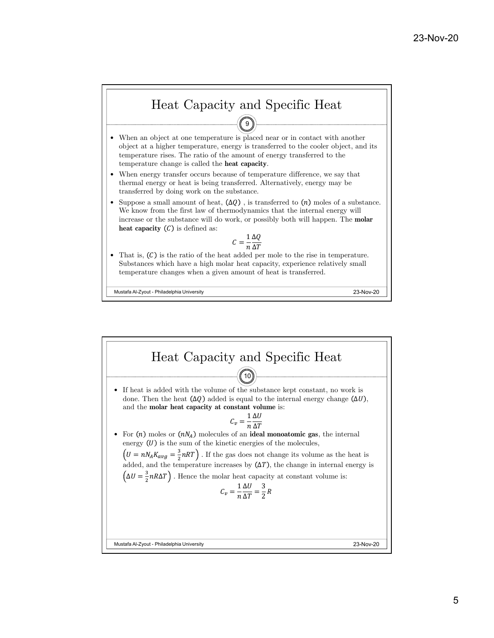

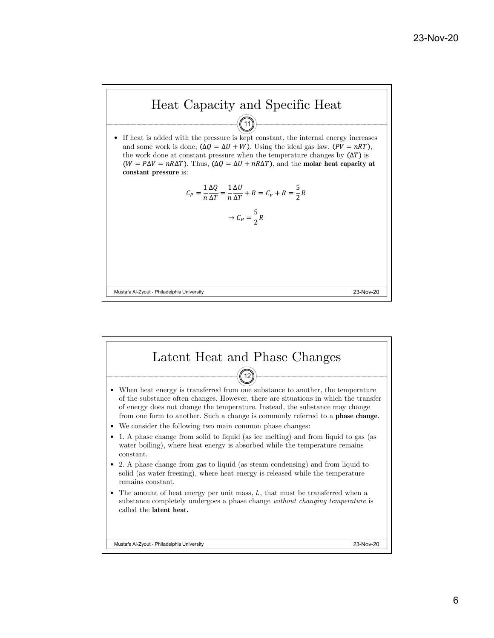

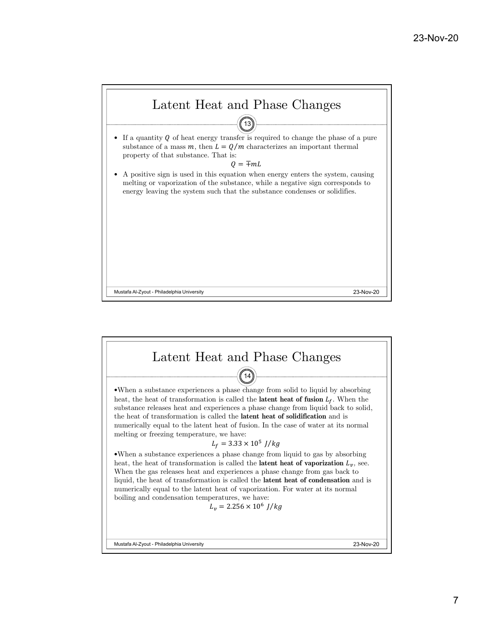